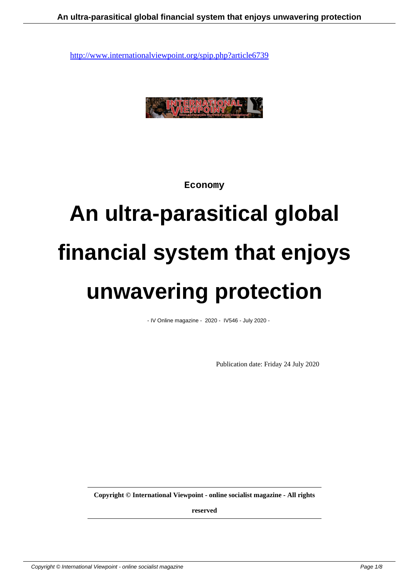

**Economy**

# **An ultra-parasitical global financial system that enjoys unwavering protection**

- IV Online magazine - 2020 - IV546 - July 2020 -

Publication date: Friday 24 July 2020

**Copyright © International Viewpoint - online socialist magazine - All rights**

**reserved**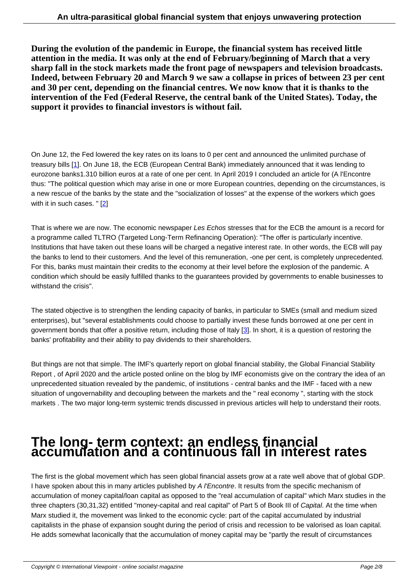**During the evolution of the pandemic in Europe, the financial system has received little attention in the media. It was only at the end of February/beginning of March that a very sharp fall in the stock markets made the front page of newspapers and television broadcasts. Indeed, between February 20 and March 9 we saw a collapse in prices of between 23 per cent and 30 per cent, depending on the financial centres. We now know that it is thanks to the intervention of the Fed (Federal Reserve, the central bank of the United States). Today, the support it provides to financial investors is without fail.**

On June 12, the Fed lowered the key rates on its loans to 0 per cent and announced the unlimited purchase of treasury bills [1]. On June 18, the ECB (European Central Bank) immediately announced that it was lending to eurozone banks1.310 billion euros at a rate of one per cent. In April 2019 I concluded an article for (A l'Encontre thus: "The political question which may arise in one or more European countries, depending on the circumstances, is a new rescue of the banks by the state and the "socialization of losses" at the expense of the workers which goes with it in such [c](#nb1)ases. " [2]

That is where we are now. The economic newspaper Les Echos stresses that for the ECB the amount is a record for a programme called TL[T](#nb2)RO (Targeted Long-Term Refinancing Operation): "The offer is particularly incentive. Institutions that have taken out these loans will be charged a negative interest rate. In other words, the ECB will pay the banks to lend to their customers. And the level of this remuneration, -one per cent, is completely unprecedented. For this, banks must maintain their credits to the economy at their level before the explosion of the pandemic. A condition which should be easily fulfilled thanks to the guarantees provided by governments to enable businesses to withstand the crisis".

The stated objective is to strengthen the lending capacity of banks, in particular to SMEs (small and medium sized enterprises), but "several establishments could choose to partially invest these funds borrowed at one per cent in government bonds that offer a positive return, including those of Italy [3]. In short, it is a question of restoring the banks' profitability and their ability to pay dividends to their shareholders.

But things are not that simple. The IMF's quarterly report on global fin[an](#nb3)cial stability, the Global Financial Stability Report , of April 2020 and the article posted online on the blog by IMF economists give on the contrary the idea of an unprecedented situation revealed by the pandemic, of institutions - central banks and the IMF - faced with a new situation of ungovernability and decoupling between the markets and the " real economy ", starting with the stock markets . The two major long-term systemic trends discussed in previous articles will help to understand their roots.

## **The long- term context: an endless financial accumulation and a continuous fall in interest rates**

The first is the global movement which has seen global financial assets grow at a rate well above that of global GDP. I have spoken about this in many articles published by A l'Encontre. It results from the specific mechanism of accumulation of money capital/loan capital as opposed to the "real accumulation of capital" which Marx studies in the three chapters (30,31,32) entitled "money-capital and real capital" of Part 5 of Book III of Capital. At the time when Marx studied it, the movement was linked to the economic cycle: part of the capital accumulated by industrial capitalists in the phase of expansion sought during the period of crisis and recession to be valorised as loan capital. He adds somewhat laconically that the accumulation of money capital may be "partly the result of circumstances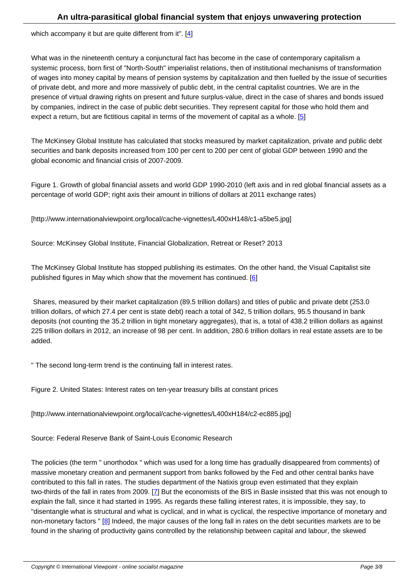What was in the nineteenth century a conjunctural fact has become in the case of contemporary capitalism a systemic process, born first of "North-South" imperi[al](#nb4)ist relations, then of institutional mechanisms of transformation of wages into money capital by means of pension systems by capitalization and then fuelled by the issue of securities of private debt, and more and more massively of public debt, in the central capitalist countries. We are in the presence of virtual drawing rights on present and future surplus-value, direct in the case of shares and bonds issued by companies, indirect in the case of public debt securities. They represent capital for those who hold them and expect a return, but are fictitious capital in terms of the movement of capital as a whole.  $[5]$ 

The McKinsey Global Institute has calculated that stocks measured by market capitalization, private and public debt securities and bank deposits increased from 100 per cent to 200 per cent of global GDP [be](#nb5)tween 1990 and the global economic and financial crisis of 2007-2009.

Figure 1. Growth of global financial assets and world GDP 1990-2010 (left axis and in red global financial assets as a percentage of world GDP; right axis their amount in trillions of dollars at 2011 exchange rates)

[http://www.internationalviewpoint.org/local/cache-vignettes/L400xH148/c1-a5be5.jpg]

Source: McKinsey Global Institute, Financial Globalization, Retreat or Reset? 2013

The McKinsey Global Institute has stopped publishing its estimates. On the other hand, the Visual Capitalist site published figures in May which show that the movement has continued. [6]

 Shares, measured by their market capitalization (89.5 trillion dollars) and titles of public and private debt (253.0 trillion dollars, of which 27.4 per cent is state debt) reach a total of 342, 5 [t](#nb6)rillion dollars, 95.5 thousand in bank deposits (not counting the 35.2 trillion in tight monetary aggregates), that is, a total of 438.2 trillion dollars as against 225 trillion dollars in 2012, an increase of 98 per cent. In addition, 280.6 trillion dollars in real estate assets are to be added.

" The second long-term trend is the continuing fall in interest rates.

Figure 2. United States: Interest rates on ten-year treasury bills at constant prices

[http://www.internationalviewpoint.org/local/cache-vignettes/L400xH184/c2-ec885.jpg]

Source: Federal Reserve Bank of Saint-Louis Economic Research

The policies (the term " unorthodox " which was used for a long time has gradually disappeared from comments) of massive monetary creation and permanent support from banks followed by the Fed and other central banks have contributed to this fall in rates. The studies department of the Natixis group even estimated that they explain two-thirds of the fall in rates from 2009. [7] But the economists of the BIS in Basle insisted that this was not enough to explain the fall, since it had started in 1995. As regards these falling interest rates, it is impossible, they say, to "disentangle what is structural and what is cyclical, and in what is cyclical, the respective importance of monetary and non-monetary factors " [8] Indeed, the major causes of the long fall in rates on the debt securities markets are to be found in the sharing of productivity gain[s c](#nb7)ontrolled by the relationship between capital and labour, the skewed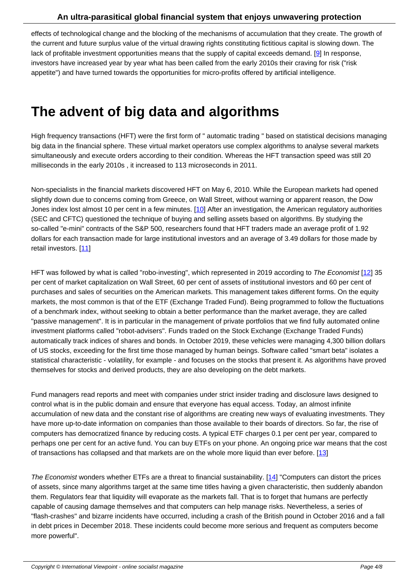effects of technological change and the blocking of the mechanisms of accumulation that they create. The growth of the current and future surplus value of the virtual drawing rights constituting fictitious capital is slowing down. The lack of profitable investment opportunities means that the supply of capital exceeds demand. [9] In response, investors have increased year by year what has been called from the early 2010s their craving for risk ("risk appetite") and have turned towards the opportunities for micro-profits offered by artificial intelligence.

### **The advent of big data and algorithms**

High frequency transactions (HFT) were the first form of " automatic trading " based on statistical decisions managing big data in the financial sphere. These virtual market operators use complex algorithms to analyse several markets simultaneously and execute orders according to their condition. Whereas the HFT transaction speed was still 20 milliseconds in the early 2010s , it increased to 113 microseconds in 2011.

Non-specialists in the financial markets discovered HFT on May 6, 2010. While the European markets had opened slightly down due to concerns coming from Greece, on Wall Street, without warning or apparent reason, the Dow Jones index lost almost 10 per cent in a few minutes. [10] After an investigation, the American regulatory authorities (SEC and CFTC) questioned the technique of buying and selling assets based on algorithms. By studying the so-called "e-mini" contracts of the S&P 500, researchers found that HFT traders made an average profit of 1.92 dollars for each transaction made for large institutiona[l inv](#nb10)estors and an average of 3.49 dollars for those made by retail investors. [11]

HFT was followed by what is called "robo-investing", which represented in 2019 according to The Economist [12] 35 per cent of mark[et c](#nb11)apitalization on Wall Street, 60 per cent of assets of institutional investors and 60 per cent of purchases and sales of securities on the American markets. This management takes different forms. On the equity markets, the most common is that of the ETF (Exchange Traded Fund). Being programmed to follow the fluct[uat](#nb12)ions of a benchmark index, without seeking to obtain a better performance than the market average, they are called "passive management". It is in particular in the management of private portfolios that we find fully automated online investment platforms called "robot-advisers". Funds traded on the Stock Exchange (Exchange Traded Funds) automatically track indices of shares and bonds. In October 2019, these vehicles were managing 4,300 billion dollars of US stocks, exceeding for the first time those managed by human beings. Software called "smart beta" isolates a statistical characteristic - volatility, for example - and focuses on the stocks that present it. As algorithms have proved themselves for stocks and derived products, they are also developing on the debt markets.

Fund managers read reports and meet with companies under strict insider trading and disclosure laws designed to control what is in the public domain and ensure that everyone has equal access. Today, an almost infinite accumulation of new data and the constant rise of algorithms are creating new ways of evaluating investments. They have more up-to-date information on companies than those available to their boards of directors. So far, the rise of computers has democratized finance by reducing costs. A typical ETF charges 0.1 per cent per year, compared to perhaps one per cent for an active fund. You can buy ETFs on your phone. An ongoing price war means that the cost of transactions has collapsed and that markets are on the whole more liquid than ever before. [13]

The Economist wonders whether ETFs are a threat to financial sustainability. [14] "Computers can distort the prices of assets, since many algorithms target at the same time titles having a given characteristic, th[en](#nb13) suddenly abandon them. Regulators fear that liquidity will evaporate as the markets fall. That is to forget that humans are perfectly capable of causing damage themselves and that computers can help manage risks. Nevertheless, a series of "flash-crashes" and bizarre incidents have occurred, including a crash of the [Britis](#nb14)h pound in October 2016 and a fall in debt prices in December 2018. These incidents could become more serious and frequent as computers become more powerful".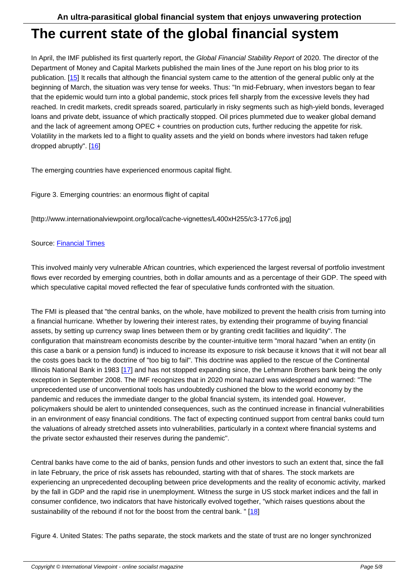#### **The current state of the global financial system**

In April, the IMF published its first quarterly report, the Global Financial Stability Report of 2020. The director of the Department of Money and Capital Markets published the main lines of the June report on his blog prior to its publication. [15] It recalls that although the financial system came to the attention of the general public only at the beginning of March, the situation was very tense for weeks. Thus: "In mid-February, when investors began to fear that the epidemic would turn into a global pandemic, stock prices fell sharply from the excessive levels they had reached. In [cred](#nb15)it markets, credit spreads soared, particularly in risky segments such as high-yield bonds, leveraged loans and private debt, issuance of which practically stopped. Oil prices plummeted due to weaker global demand and the lack of agreement among OPEC + countries on production cuts, further reducing the appetite for risk. Volatility in the markets led to a flight to quality assets and the yield on bonds where investors had taken refuge dropped abruptly". [16]

The emerging countries have experienced enormous capital flight.

Figure 3. Emerging countries: an enormous flight of capital

[http://www.internationalviewpoint.org/local/cache-vignettes/L400xH255/c3-177c6.jpg]

#### Source: Financial Times

This involved mainly very vulnerable African countries, which experienced the largest reversal of portfolio investment flows ev[er recorded by e](https://www.ft.com/content/e3634816-66bd-4355-bc71-156016761dab)merging countries, both in dollar amounts and as a percentage of their GDP. The speed with which speculative capital moved reflected the fear of speculative funds confronted with the situation.

The FMI is pleased that "the central banks, on the whole, have mobilized to prevent the health crisis from turning into a financial hurricane. Whether by lowering their interest rates, by extending their programme of buying financial assets, by setting up currency swap lines between them or by granting credit facilities and liquidity". The configuration that mainstream economists describe by the counter-intuitive term "moral hazard "when an entity (in this case a bank or a pension fund) is induced to increase its exposure to risk because it knows that it will not bear all the costs goes back to the doctrine of "too big to fail". This doctrine was applied to the rescue of the Continental Illinois National Bank in 1983 [17] and has not stopped expanding since, the Lehmann Brothers bank being the only exception in September 2008. The IMF recognizes that in 2020 moral hazard was widespread and warned: "The unprecedented use of unconventional tools has undoubtedly cushioned the blow to the world economy by the pandemic and reduces the immediate danger to the global financial system, its intended goal. However, policymakers should be alert t[o u](#nb17)nintended consequences, such as the continued increase in financial vulnerabilities in an environment of easy financial conditions. The fact of expecting continued support from central banks could turn the valuations of already stretched assets into vulnerabilities, particularly in a context where financial systems and the private sector exhausted their reserves during the pandemic".

Central banks have come to the aid of banks, pension funds and other investors to such an extent that, since the fall in late February, the price of risk assets has rebounded, starting with that of shares. The stock markets are experiencing an unprecedented decoupling between price developments and the reality of economic activity, marked by the fall in GDP and the rapid rise in unemployment. Witness the surge in US stock market indices and the fall in consumer confidence, two indicators that have historically evolved together, "which raises questions about the sustainability of the rebound if not for the boost from the central bank. " [18]

Figure 4. United States: The paths separate, the stock markets and the state of trust are no longer synchronized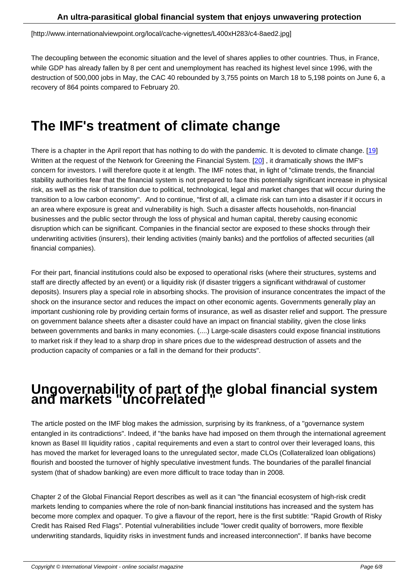The decoupling between the economic situation and the level of shares applies to other countries. Thus, in France, while GDP has already fallen by 8 per cent and unemployment has reached its highest level since 1996, with the destruction of 500,000 jobs in May, the CAC 40 rebounded by 3,755 points on March 18 to 5,198 points on June 6, a recovery of 864 points compared to February 20.

### **The IMF's treatment of climate change**

There is a chapter in the April report that has nothing to do with the pandemic. It is devoted to climate change. [19] Written at the request of the Network for Greening the Financial System. [20], it dramatically shows the IMF's concern for investors. I will therefore quote it at length. The IMF notes that, in light of "climate trends, the financial stability authorities fear that the financial system is not prepared to face this potentially significant increase in physical risk, as well as the risk of transition due to political, technological, legal and market changes that will occur duri[ng](#nb19) the transition to a low carbon economy". And to continue, "first of all, a clima[te r](#nb20)isk can turn into a disaster if it occurs in an area where exposure is great and vulnerability is high. Such a disaster affects households, non-financial businesses and the public sector through the loss of physical and human capital, thereby causing economic disruption which can be significant. Companies in the financial sector are exposed to these shocks through their underwriting activities (insurers), their lending activities (mainly banks) and the portfolios of affected securities (all financial companies).

For their part, financial institutions could also be exposed to operational risks (where their structures, systems and staff are directly affected by an event) or a liquidity risk (if disaster triggers a significant withdrawal of customer deposits). Insurers play a special role in absorbing shocks. The provision of insurance concentrates the impact of the shock on the insurance sector and reduces the impact on other economic agents. Governments generally play an important cushioning role by providing certain forms of insurance, as well as disaster relief and support. The pressure on government balance sheets after a disaster could have an impact on financial stability, given the close links between governments and banks in many economies. (....) Large-scale disasters could expose financial institutions to market risk if they lead to a sharp drop in share prices due to the widespread destruction of assets and the production capacity of companies or a fall in the demand for their products".

## **Ungovernability of part of the global financial system and markets "uncorrelated "**

The article posted on the IMF blog makes the admission, surprising by its frankness, of a "governance system entangled in its contradictions". Indeed, if "the banks have had imposed on them through the international agreement known as Basel III liquidity ratios , capital requirements and even a start to control over their leveraged loans, this has moved the market for leveraged loans to the unregulated sector, made CLOs (Collateralized loan obligations) flourish and boosted the turnover of highly speculative investment funds. The boundaries of the parallel financial system (that of shadow banking) are even more difficult to trace today than in 2008.

Chapter 2 of the Global Financial Report describes as well as it can "the financial ecosystem of high-risk credit markets lending to companies where the role of non-bank financial institutions has increased and the system has become more complex and opaquer. To give a flavour of the report, here is the first subtitle: "Rapid Growth of Risky Credit has Raised Red Flags". Potential vulnerabilities include "lower credit quality of borrowers, more flexible underwriting standards, liquidity risks in investment funds and increased interconnection". If banks have become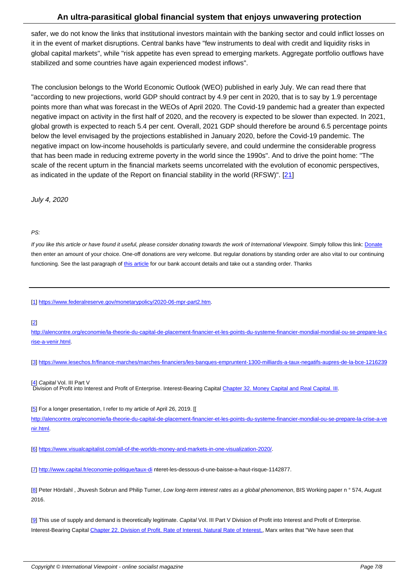safer, we do not know the links that institutional investors maintain with the banking sector and could inflict losses on it in the event of market disruptions. Central banks have "few instruments to deal with credit and liquidity risks in global capital markets", while "risk appetite has even spread to emerging markets. Aggregate portfolio outflows have stabilized and some countries have again experienced modest inflows".

The conclusion belongs to the World Economic Outlook (WEO) published in early July. We can read there that "according to new projections, world GDP should contract by 4.9 per cent in 2020, that is to say by 1.9 percentage points more than what was forecast in the WEOs of April 2020. The Covid-19 pandemic had a greater than expected negative impact on activity in the first half of 2020, and the recovery is expected to be slower than expected. In 2021, global growth is expected to reach 5.4 per cent. Overall, 2021 GDP should therefore be around 6.5 percentage points below the level envisaged by the projections established in January 2020, before the Covid-19 pandemic. The negative impact on low-income households is particularly severe, and could undermine the considerable progress that has been made in reducing extreme poverty in the world since the 1990s". And to drive the point home: "The scale of the recent upturn in the financial markets seems uncorrelated with the evolution of economic perspectives, as indicated in the update of the Report on financial stability in the world (RFSW)". [21]

July 4, 2020

#### PS:

If you like this article or have found it useful, please consider donating towards the work of International Viewpoint. Simply follow this link: Donate then enter an amount of your choice. One-off donations are very welcome. But regular donations by standing order are also vital to our continuing functioning. See the last paragraph of this article for our bank account details and take out a standing order. Thanks

[1] https://www.federalreserve.gov/mo[netarypolic](http://www.internationalviewpoint.org/spip.php?article5368)y/2020-06-mpr-part2.htm.

#### [2]

[ht](#nh1)t[p://alencontre.org/economie/la-theorie-du-capital-de-placement-financie](https://www.federalreserve.gov/monetarypolicy/2020-06-mpr-part2.htm)r-et-les-points-du-systeme-financier-mondial-mondial-ou-se-prepare-la-c rise-a-venir.html.

[3] [https://www.lesechos.fr/finance-marches/marches-financiers/les-banques-empruntent-1300-milliards-a-taux-negatifs-aupres-de-la-bce-1216239](http://alencontre.org/economie/la-theorie-du-capital-de-placement-financier-et-les-points-du-systeme-financier-mondial-mondial-ou-se-prepare-la-crise-a-venir.html)

[4] Capital Vol. III Part V

Division of Profit into Interest and Profit of Enterprise. Interest-Bearing Capital Chapter 32. Money Capital and Real Capital. III.

[5] For a longer presentation, I refer to my article of April 26, 2019. [[ [ht](#nh4)tp://alencontre.org/economie/la-theorie-du-capital-de-placement-financier-et-[les-points-du-systeme-financier-mondial-ou-se-p](https://www.marxists.org/archive/marx/works/1894-c3/ch32.htm)repare-la-crise-a-ve nir.html.

[6] [https://www.visualcapitalist.com/all-of-the-worlds-money-and-markets-in-one-visualization-2020/.](http://alencontre.org/economie/la-theorie-du-capital-de-placement-financier-et-les-points-du-systeme-financier-mondial-ou-se-prepare-la-crise-a-venir.html)

[7] http://www.capital.fr/economie-politique/taux-di nteret-les-dessous-d-une-baisse-a-haut-risque-1142877.

[8] Peter Hördahl, Jhuvesh Sobrun and Philip Turner, Low long-term interest rates as a global phenomenon, BIS Working paper n ° 574, August [20](#nh7)[16.](http://www.capital.fr/economie-politique/taux-di)

[[9](#nh8)] This use of supply and demand is theoretically legitimate. Capital Vol. III Part V Division of Profit into Interest and Profit of Enterprise. Interest-Bearing Capital Chapter 22. Division of Profit. Rate of Interest. Natural Rate of Interest., Marx writes that "We have seen that